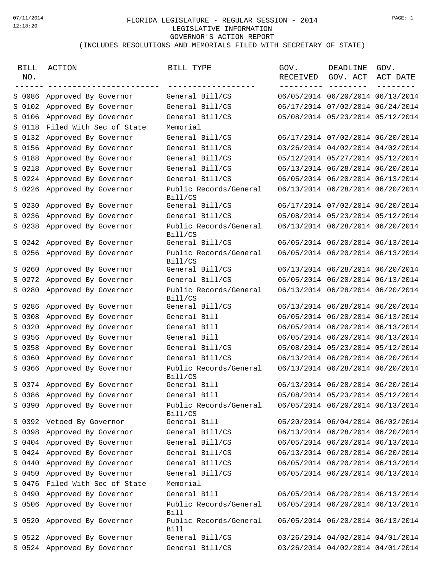## FLORIDA LEGISLATURE - REGULAR SESSION - 2014 07/11/2014 PAGE: 1LEGISLATIVE INFORMATION GOVERNOR'S ACTION REPORT (INCLUDES RESOLUTIONS AND MEMORIALS FILED WITH SECRETARY OF STATE)

| BILL<br>NO. | ACTION<br>--------------------- | BILL TYPE                             | GOV.<br>RECEIVED | DEADLINE<br>GOV. ACT<br>--------- -------- | GOV.<br>ACT DATE |
|-------------|---------------------------------|---------------------------------------|------------------|--------------------------------------------|------------------|
|             | S 0086 Approved By Governor     | General Bill/CS                       |                  | 06/05/2014 06/20/2014 06/13/2014           |                  |
| S 0102      | Approved By Governor            | General Bill/CS                       |                  | 06/17/2014 07/02/2014 06/24/2014           |                  |
| S 0106      | Approved By Governor            | General Bill/CS                       |                  | 05/08/2014 05/23/2014 05/12/2014           |                  |
| S 0118      | Filed With Sec of State         | Memorial                              |                  |                                            |                  |
| S 0132      | Approved By Governor            | General Bill/CS                       |                  | 06/17/2014 07/02/2014 06/20/2014           |                  |
| S 0156      | Approved By Governor            | General Bill/CS                       |                  | 03/26/2014 04/02/2014 04/02/2014           |                  |
| S 0188      | Approved By Governor            | General Bill/CS                       |                  | 05/12/2014 05/27/2014 05/12/2014           |                  |
| S 0218      | Approved By Governor            | General Bill/CS                       |                  | 06/13/2014 06/28/2014 06/20/2014           |                  |
| S 0224      | Approved By Governor            | General Bill/CS                       |                  | 06/05/2014 06/20/2014 06/13/2014           |                  |
| S 0226      | Approved By Governor            | Public Records/General<br>Bill/CS     |                  | 06/13/2014 06/28/2014 06/20/2014           |                  |
|             | S 0230 Approved By Governor     | General Bill/CS                       |                  | 06/17/2014 07/02/2014 06/20/2014           |                  |
| S 0236      | Approved By Governor            | General Bill/CS                       |                  | 05/08/2014 05/23/2014 05/12/2014           |                  |
| S 0238      | Approved By Governor            | Public Records/General<br>Bill/CS     |                  | 06/13/2014 06/28/2014 06/20/2014           |                  |
|             | S 0242 Approved By Governor     | General Bill/CS                       |                  | 06/05/2014 06/20/2014 06/13/2014           |                  |
| S 0256      | Approved By Governor            | Public Records/General<br>Bill/CS     |                  | 06/05/2014 06/20/2014 06/13/2014           |                  |
| S 0260      | Approved By Governor            | General Bill/CS                       |                  | 06/13/2014 06/28/2014 06/20/2014           |                  |
| S 0272      | Approved By Governor            | General Bill/CS                       |                  | 06/05/2014 06/20/2014 06/13/2014           |                  |
|             | S 0280 Approved By Governor     | Public Records/General<br>Bill/CS     |                  | 06/13/2014 06/28/2014 06/20/2014           |                  |
|             | S 0286 Approved By Governor     | General Bill/CS                       |                  | 06/13/2014 06/28/2014 06/20/2014           |                  |
| S 0308      | Approved By Governor            | General Bill                          |                  | 06/05/2014 06/20/2014 06/13/2014           |                  |
| S 0320      | Approved By Governor            | General Bill                          |                  | 06/05/2014 06/20/2014 06/13/2014           |                  |
| S 0356      | Approved By Governor            | General Bill                          |                  | 06/05/2014 06/20/2014 06/13/2014           |                  |
| S 0358      | Approved By Governor            | General Bill/CS                       |                  | 05/08/2014 05/23/2014 05/12/2014           |                  |
| S 0360      | Approved By Governor            | General Bill/CS                       |                  | 06/13/2014 06/28/2014 06/20/2014           |                  |
|             | S 0366 Approved By Governor     | Public Records/General<br>Bill/CS     |                  | 06/13/2014 06/28/2014 06/20/2014           |                  |
|             | S 0374 Approved By Governor     | General Bill                          |                  | 06/13/2014 06/28/2014 06/20/2014           |                  |
|             | S 0386 Approved By Governor     | General Bill                          |                  | 05/08/2014 05/23/2014 05/12/2014           |                  |
|             | S 0390 Approved By Governor     | Public Records/General<br>Bill/CS     |                  | 06/05/2014 06/20/2014 06/13/2014           |                  |
|             | S 0392 Vetoed By Governor       | General Bill                          |                  | 05/20/2014 06/04/2014 06/02/2014           |                  |
|             | S 0398 Approved By Governor     | General Bill/CS                       |                  | 06/13/2014 06/28/2014 06/20/2014           |                  |
|             | S 0404 Approved By Governor     | General Bill/CS                       |                  | 06/05/2014 06/20/2014 06/13/2014           |                  |
|             | S 0424 Approved By Governor     | General Bill/CS                       |                  | 06/13/2014 06/28/2014 06/20/2014           |                  |
|             | S 0440 Approved By Governor     | General Bill/CS                       |                  | 06/05/2014 06/20/2014 06/13/2014           |                  |
|             | S 0450 Approved By Governor     | General Bill/CS                       |                  | 06/05/2014 06/20/2014 06/13/2014           |                  |
|             | S 0476 Filed With Sec of State  | Memorial                              |                  |                                            |                  |
|             | S 0490 Approved By Governor     | General Bill                          |                  | 06/05/2014 06/20/2014 06/13/2014           |                  |
|             | S 0506 Approved By Governor     | Public Records/General<br><b>Bill</b> |                  | 06/05/2014 06/20/2014 06/13/2014           |                  |
|             | S 0520 Approved By Governor     | Public Records/General<br><b>Bill</b> |                  | 06/05/2014 06/20/2014 06/13/2014           |                  |
|             | S 0522 Approved By Governor     | General Bill/CS                       |                  | 03/26/2014 04/02/2014 04/01/2014           |                  |
|             | S 0524 Approved By Governor     | General Bill/CS                       |                  | 03/26/2014 04/02/2014 04/01/2014           |                  |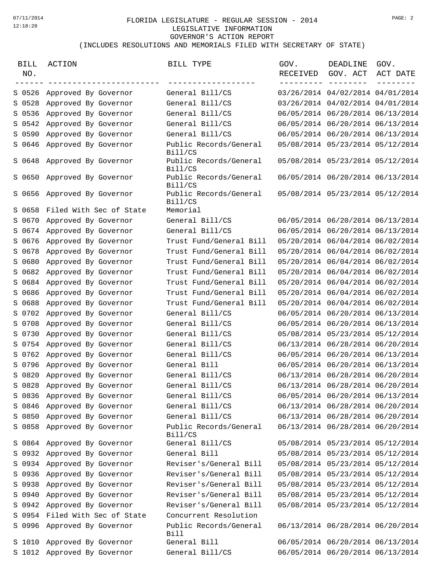## FLORIDA LEGISLATURE - REGULAR SESSION - 2014 07/11/2014 PAGE: 2LEGISLATIVE INFORMATION GOVERNOR'S ACTION REPORT (INCLUDES RESOLUTIONS AND MEMORIALS FILED WITH SECRETARY OF STATE)

| <b>BILL</b><br>NO. | ACTION                         | BILL TYPE                         | GOV.<br>RECEIVED | DEADLINE<br>GOV. ACT             | GOV.<br>ACT DATE |
|--------------------|--------------------------------|-----------------------------------|------------------|----------------------------------|------------------|
|                    | S 0526 Approved By Governor    | General Bill/CS                   |                  | 03/26/2014 04/02/2014 04/01/2014 |                  |
|                    | S 0528 Approved By Governor    | General Bill/CS                   |                  | 03/26/2014 04/02/2014 04/01/2014 |                  |
| S 0536             | Approved By Governor           | General Bill/CS                   |                  | 06/05/2014 06/20/2014 06/13/2014 |                  |
|                    | S 0542 Approved By Governor    | General Bill/CS                   |                  | 06/05/2014 06/20/2014 06/13/2014 |                  |
|                    | S 0590 Approved By Governor    | General Bill/CS                   |                  | 06/05/2014 06/20/2014 06/13/2014 |                  |
|                    | S 0646 Approved By Governor    | Public Records/General<br>Bill/CS |                  | 05/08/2014 05/23/2014 05/12/2014 |                  |
|                    | S 0648 Approved By Governor    | Public Records/General<br>Bill/CS |                  | 05/08/2014 05/23/2014 05/12/2014 |                  |
|                    | S 0650 Approved By Governor    | Public Records/General<br>Bill/CS |                  | 06/05/2014 06/20/2014 06/13/2014 |                  |
|                    | S 0656 Approved By Governor    | Public Records/General<br>Bill/CS |                  | 05/08/2014 05/23/2014 05/12/2014 |                  |
|                    | S 0658 Filed With Sec of State | Memorial                          |                  |                                  |                  |
|                    | S 0670 Approved By Governor    | General Bill/CS                   |                  | 06/05/2014 06/20/2014 06/13/2014 |                  |
|                    | S 0674 Approved By Governor    | General Bill/CS                   |                  | 06/05/2014 06/20/2014 06/13/2014 |                  |
|                    | S 0676 Approved By Governor    | Trust Fund/General Bill           |                  | 05/20/2014 06/04/2014 06/02/2014 |                  |
|                    | S 0678 Approved By Governor    | Trust Fund/General Bill           |                  | 05/20/2014 06/04/2014 06/02/2014 |                  |
|                    | S 0680 Approved By Governor    | Trust Fund/General Bill           |                  | 05/20/2014 06/04/2014 06/02/2014 |                  |
|                    | S 0682 Approved By Governor    | Trust Fund/General Bill           |                  | 05/20/2014 06/04/2014 06/02/2014 |                  |
|                    | S 0684 Approved By Governor    | Trust Fund/General Bill           |                  | 05/20/2014 06/04/2014 06/02/2014 |                  |
|                    | S 0686 Approved By Governor    | Trust Fund/General Bill           |                  | 05/20/2014 06/04/2014 06/02/2014 |                  |
|                    | S 0688 Approved By Governor    | Trust Fund/General Bill           |                  | 05/20/2014 06/04/2014 06/02/2014 |                  |
| S 0702             | Approved By Governor           | General Bill/CS                   |                  | 06/05/2014 06/20/2014 06/13/2014 |                  |
|                    | S 0708 Approved By Governor    | General Bill/CS                   |                  | 06/05/2014 06/20/2014 06/13/2014 |                  |
|                    | S 0730 Approved By Governor    | General Bill/CS                   |                  | 05/08/2014 05/23/2014 05/12/2014 |                  |
|                    | S 0754 Approved By Governor    | General Bill/CS                   |                  | 06/13/2014 06/28/2014 06/20/2014 |                  |
|                    | S 0762 Approved By Governor    | General Bill/CS                   |                  | 06/05/2014 06/20/2014 06/13/2014 |                  |
|                    | S 0796 Approved By Governor    | General Bill                      |                  | 06/05/2014 06/20/2014 06/13/2014 |                  |
|                    | S 0820 Approved By Governor    | General Bill/CS                   |                  | 06/13/2014 06/28/2014 06/20/2014 |                  |
|                    | S 0828 Approved By Governor    | General Bill/CS                   |                  | 06/13/2014 06/28/2014 06/20/2014 |                  |
| S 0836             | Approved By Governor           | General Bill/CS                   |                  | 06/05/2014 06/20/2014 06/13/2014 |                  |
|                    | S 0846 Approved By Governor    | General Bill/CS                   |                  | 06/13/2014 06/28/2014 06/20/2014 |                  |
|                    | S 0850 Approved By Governor    | General Bill/CS                   |                  | 06/13/2014 06/28/2014 06/20/2014 |                  |
|                    | S 0858 Approved By Governor    | Public Records/General<br>Bill/CS |                  | 06/13/2014 06/28/2014 06/20/2014 |                  |
|                    | S 0864 Approved By Governor    | General Bill/CS                   |                  | 05/08/2014 05/23/2014 05/12/2014 |                  |
|                    | S 0932 Approved By Governor    | General Bill                      |                  | 05/08/2014 05/23/2014 05/12/2014 |                  |
|                    | S 0934 Approved By Governor    | Reviser's/General Bill            |                  | 05/08/2014 05/23/2014 05/12/2014 |                  |
|                    | S 0936 Approved By Governor    | Reviser's/General Bill            |                  | 05/08/2014 05/23/2014 05/12/2014 |                  |
|                    | S 0938 Approved By Governor    | Reviser's/General Bill            |                  | 05/08/2014 05/23/2014 05/12/2014 |                  |
|                    | S 0940 Approved By Governor    | Reviser's/General Bill            |                  | 05/08/2014 05/23/2014 05/12/2014 |                  |
|                    | S 0942 Approved By Governor    | Reviser's/General Bill            |                  | 05/08/2014 05/23/2014 05/12/2014 |                  |
|                    | S 0954 Filed With Sec of State | Concurrent Resolution             |                  |                                  |                  |
|                    | S 0996 Approved By Governor    | Public Records/General<br>Bill    |                  | 06/13/2014 06/28/2014 06/20/2014 |                  |
|                    | S 1010 Approved By Governor    | General Bill                      |                  | 06/05/2014 06/20/2014 06/13/2014 |                  |
|                    | S 1012 Approved By Governor    | General Bill/CS                   |                  | 06/05/2014 06/20/2014 06/13/2014 |                  |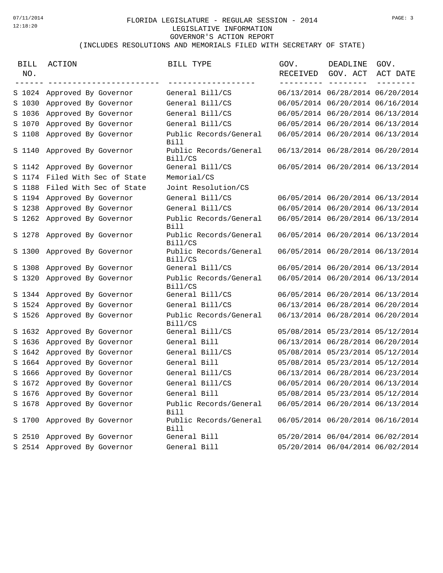## FLORIDA LEGISLATURE - REGULAR SESSION - 2014 07/11/2014 PAGE: 3LEGISLATIVE INFORMATION GOVERNOR'S ACTION REPORT (INCLUDES RESOLUTIONS AND MEMORIALS FILED WITH SECRETARY OF STATE)

| <b>BILL</b><br>NO. | ACTION                         | BILL TYPE                             | GOV.<br>RECEIVED | DEADLINE<br>GOV. ACT             | GOV.<br>ACT DATE |
|--------------------|--------------------------------|---------------------------------------|------------------|----------------------------------|------------------|
|                    | S 1024 Approved By Governor    | General Bill/CS                       |                  | 06/13/2014 06/28/2014 06/20/2014 |                  |
|                    | S 1030 Approved By Governor    | General Bill/CS                       |                  | 06/05/2014 06/20/2014 06/16/2014 |                  |
| S 1036             | Approved By Governor           | General Bill/CS                       |                  | 06/05/2014 06/20/2014 06/13/2014 |                  |
|                    | S 1070 Approved By Governor    | General Bill/CS                       |                  | 06/05/2014 06/20/2014 06/13/2014 |                  |
|                    | S 1108 Approved By Governor    | Public Records/General<br><b>Bill</b> |                  | 06/05/2014 06/20/2014 06/13/2014 |                  |
|                    | S 1140 Approved By Governor    | Public Records/General<br>Bill/CS     |                  | 06/13/2014 06/28/2014 06/20/2014 |                  |
|                    | S 1142 Approved By Governor    | General Bill/CS                       |                  | 06/05/2014 06/20/2014 06/13/2014 |                  |
|                    | S 1174 Filed With Sec of State | Memorial/CS                           |                  |                                  |                  |
|                    | S 1188 Filed With Sec of State | Joint Resolution/CS                   |                  |                                  |                  |
|                    | S 1194 Approved By Governor    | General Bill/CS                       |                  | 06/05/2014 06/20/2014 06/13/2014 |                  |
| S 1238             | Approved By Governor           | General Bill/CS                       |                  | 06/05/2014 06/20/2014 06/13/2014 |                  |
|                    | S 1262 Approved By Governor    | Public Records/General<br><b>Bill</b> |                  | 06/05/2014 06/20/2014 06/13/2014 |                  |
|                    | S 1278 Approved By Governor    | Public Records/General<br>Bill/CS     |                  | 06/05/2014 06/20/2014 06/13/2014 |                  |
|                    | S 1300 Approved By Governor    | Public Records/General<br>Bill/CS     |                  | 06/05/2014 06/20/2014 06/13/2014 |                  |
|                    | S 1308 Approved By Governor    | General Bill/CS                       |                  | 06/05/2014 06/20/2014 06/13/2014 |                  |
|                    | S 1320 Approved By Governor    | Public Records/General<br>Bill/CS     |                  | 06/05/2014 06/20/2014 06/13/2014 |                  |
|                    | S 1344 Approved By Governor    | General Bill/CS                       |                  | 06/05/2014 06/20/2014 06/13/2014 |                  |
|                    | S 1524 Approved By Governor    | General Bill/CS                       |                  | 06/13/2014 06/28/2014 06/20/2014 |                  |
|                    | S 1526 Approved By Governor    | Public Records/General<br>Bill/CS     |                  | 06/13/2014 06/28/2014 06/20/2014 |                  |
|                    | S 1632 Approved By Governor    | General Bill/CS                       |                  | 05/08/2014 05/23/2014 05/12/2014 |                  |
|                    | S 1636 Approved By Governor    | General Bill                          |                  | 06/13/2014 06/28/2014 06/20/2014 |                  |
|                    | S 1642 Approved By Governor    | General Bill/CS                       |                  | 05/08/2014 05/23/2014 05/12/2014 |                  |
|                    | S 1664 Approved By Governor    | General Bill                          |                  | 05/08/2014 05/23/2014 05/12/2014 |                  |
|                    | S 1666 Approved By Governor    | General Bill/CS                       |                  | 06/13/2014 06/28/2014 06/23/2014 |                  |
|                    | S 1672 Approved By Governor    | General Bill/CS                       |                  | 06/05/2014 06/20/2014 06/13/2014 |                  |
|                    | S 1676 Approved By Governor    | General Bill                          |                  | 05/08/2014 05/23/2014 05/12/2014 |                  |
|                    | S 1678 Approved By Governor    | Public Records/General<br><b>Bill</b> |                  | 06/05/2014 06/20/2014 06/13/2014 |                  |
|                    | S 1700 Approved By Governor    | Public Records/General<br><b>Bill</b> |                  | 06/05/2014 06/20/2014 06/16/2014 |                  |
|                    | S 2510 Approved By Governor    | General Bill                          |                  | 05/20/2014 06/04/2014 06/02/2014 |                  |
|                    | S 2514 Approved By Governor    | General Bill                          |                  | 05/20/2014 06/04/2014 06/02/2014 |                  |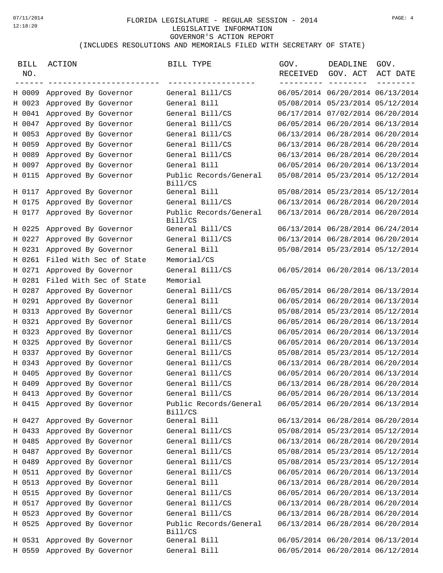## FLORIDA LEGISLATURE - REGULAR SESSION - 2014 07/11/2014 PAGE: 4LEGISLATIVE INFORMATION GOVERNOR'S ACTION REPORT (INCLUDES RESOLUTIONS AND MEMORIALS FILED WITH SECRETARY OF STATE)

| <b>BILL</b><br>NO. | ACTION                         | BILL TYPE                         | GOV.<br>RECEIVED | DEADLINE<br>GOV. ACT             | GOV.<br>ACT DATE |
|--------------------|--------------------------------|-----------------------------------|------------------|----------------------------------|------------------|
|                    | H 0009 Approved By Governor    | General Bill/CS                   |                  | 06/05/2014 06/20/2014 06/13/2014 |                  |
|                    | H 0023 Approved By Governor    | General Bill                      |                  | 05/08/2014 05/23/2014 05/12/2014 |                  |
| H 0041             | Approved By Governor           | General Bill/CS                   |                  | 06/17/2014 07/02/2014 06/20/2014 |                  |
| H 0047             | Approved By Governor           | General Bill/CS                   |                  | 06/05/2014 06/20/2014 06/13/2014 |                  |
|                    | H 0053 Approved By Governor    | General Bill/CS                   |                  | 06/13/2014 06/28/2014 06/20/2014 |                  |
| H 0059             | Approved By Governor           | General Bill/CS                   |                  | 06/13/2014 06/28/2014 06/20/2014 |                  |
| H 0089             | Approved By Governor           | General Bill/CS                   |                  | 06/13/2014 06/28/2014 06/20/2014 |                  |
| H 0097             | Approved By Governor           | General Bill                      |                  | 06/05/2014 06/20/2014 06/13/2014 |                  |
| H 0115             | Approved By Governor           | Public Records/General<br>Bill/CS |                  | 05/08/2014 05/23/2014 05/12/2014 |                  |
| H 0117             | Approved By Governor           | General Bill                      |                  | 05/08/2014 05/23/2014 05/12/2014 |                  |
| H 0175             | Approved By Governor           | General Bill/CS                   |                  | 06/13/2014 06/28/2014 06/20/2014 |                  |
|                    | H 0177 Approved By Governor    | Public Records/General<br>Bill/CS |                  | 06/13/2014 06/28/2014 06/20/2014 |                  |
|                    | H 0225 Approved By Governor    | General Bill/CS                   |                  | 06/13/2014 06/28/2014 06/24/2014 |                  |
| H 0227             | Approved By Governor           | General Bill/CS                   |                  | 06/13/2014 06/28/2014 06/20/2014 |                  |
| H 0231             | Approved By Governor           | General Bill                      |                  | 05/08/2014 05/23/2014 05/12/2014 |                  |
|                    | H 0261 Filed With Sec of State | Memorial/CS                       |                  |                                  |                  |
| H 0271             | Approved By Governor           | General Bill/CS                   |                  | 06/05/2014 06/20/2014 06/13/2014 |                  |
| H 0281             | Filed With Sec of State        | Memorial                          |                  |                                  |                  |
| H 0287             | Approved By Governor           | General Bill/CS                   |                  | 06/05/2014 06/20/2014 06/13/2014 |                  |
| H 0291             | Approved By Governor           | General Bill                      |                  | 06/05/2014 06/20/2014 06/13/2014 |                  |
|                    | H 0313 Approved By Governor    | General Bill/CS                   |                  | 05/08/2014 05/23/2014 05/12/2014 |                  |
| H 0321             | Approved By Governor           | General Bill/CS                   |                  | 06/05/2014 06/20/2014 06/13/2014 |                  |
| H 0323             | Approved By Governor           | General Bill/CS                   |                  | 06/05/2014 06/20/2014 06/13/2014 |                  |
| H 0325             | Approved By Governor           | General Bill/CS                   |                  | 06/05/2014 06/20/2014 06/13/2014 |                  |
| H 0337             | Approved By Governor           | General Bill/CS                   |                  | 05/08/2014 05/23/2014 05/12/2014 |                  |
|                    | H 0343 Approved By Governor    | General Bill/CS                   |                  | 06/13/2014 06/28/2014 06/20/2014 |                  |
| H 0405             | Approved By Governor           | General Bill/CS                   |                  | 06/05/2014 06/20/2014 06/13/2014 |                  |
|                    | H 0409 Approved By Governor    | General Bill/CS                   |                  | 06/13/2014 06/28/2014 06/20/2014 |                  |
|                    | H 0413 Approved By Governor    | General Bill/CS                   |                  | 06/05/2014 06/20/2014 06/13/2014 |                  |
|                    | H 0415 Approved By Governor    | Public Records/General<br>Bill/CS |                  | 06/05/2014 06/20/2014 06/13/2014 |                  |
|                    | H 0427 Approved By Governor    | General Bill                      |                  | 06/13/2014 06/28/2014 06/20/2014 |                  |
| H 0433             | Approved By Governor           | General Bill/CS                   |                  | 05/08/2014 05/23/2014 05/12/2014 |                  |
|                    | H 0485 Approved By Governor    | General Bill/CS                   |                  | 06/13/2014 06/28/2014 06/20/2014 |                  |
|                    | H 0487 Approved By Governor    | General Bill/CS                   |                  | 05/08/2014 05/23/2014 05/12/2014 |                  |
| H 0489             | Approved By Governor           | General Bill/CS                   |                  | 05/08/2014 05/23/2014 05/12/2014 |                  |
|                    | H 0511 Approved By Governor    | General Bill/CS                   |                  | 06/05/2014 06/20/2014 06/13/2014 |                  |
|                    | H 0513 Approved By Governor    | General Bill                      |                  | 06/13/2014 06/28/2014 06/20/2014 |                  |
|                    | H 0515 Approved By Governor    | General Bill/CS                   |                  | 06/05/2014 06/20/2014 06/13/2014 |                  |
|                    | H 0517 Approved By Governor    | General Bill/CS                   |                  | 06/13/2014 06/28/2014 06/20/2014 |                  |
| H 0523             | Approved By Governor           | General Bill/CS                   |                  | 06/13/2014 06/28/2014 06/20/2014 |                  |
|                    | H 0525 Approved By Governor    | Public Records/General<br>Bill/CS |                  | 06/13/2014 06/28/2014 06/20/2014 |                  |
|                    | H 0531 Approved By Governor    | General Bill                      |                  | 06/05/2014 06/20/2014 06/13/2014 |                  |
|                    | H 0559 Approved By Governor    | General Bill                      |                  | 06/05/2014 06/20/2014 06/12/2014 |                  |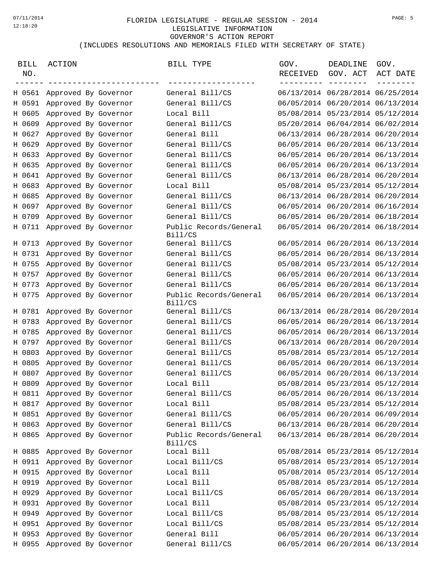## FLORIDA LEGISLATURE - REGULAR SESSION - 2014 07/11/2014 PAGE: 5LEGISLATIVE INFORMATION GOVERNOR'S ACTION REPORT (INCLUDES RESOLUTIONS AND MEMORIALS FILED WITH SECRETARY OF STATE)

| BILL<br>NO. | ACTION<br>-------------------- | BILL TYPE                         | GOV.<br>RECEIVED<br>--------- --- | DEADLINE<br>GOV. ACT<br>$- - - - -$ | GOV.<br>ACT DATE |
|-------------|--------------------------------|-----------------------------------|-----------------------------------|-------------------------------------|------------------|
|             | H 0561 Approved By Governor    | General Bill/CS                   |                                   | 06/13/2014 06/28/2014 06/25/2014    |                  |
|             | H 0591 Approved By Governor    | General Bill/CS                   |                                   | 06/05/2014 06/20/2014 06/13/2014    |                  |
| H 0605      | Approved By Governor           | Local Bill                        |                                   | 05/08/2014 05/23/2014 05/12/2014    |                  |
| H 0609      | Approved By Governor           | General Bill/CS                   |                                   | 05/20/2014 06/04/2014 06/02/2014    |                  |
|             | H 0627 Approved By Governor    | General Bill                      |                                   | 06/13/2014 06/28/2014 06/20/2014    |                  |
| H 0629      | Approved By Governor           | General Bill/CS                   |                                   | 06/05/2014 06/20/2014 06/13/2014    |                  |
| H 0633      | Approved By Governor           | General Bill/CS                   |                                   | 06/05/2014 06/20/2014 06/13/2014    |                  |
| H 0635      | Approved By Governor           | General Bill/CS                   |                                   | 06/05/2014 06/20/2014 06/13/2014    |                  |
| H 0641      | Approved By Governor           | General Bill/CS                   |                                   | 06/13/2014 06/28/2014 06/20/2014    |                  |
| H 0683      | Approved By Governor           | Local Bill                        |                                   | 05/08/2014 05/23/2014 05/12/2014    |                  |
| H 0685      | Approved By Governor           | General Bill/CS                   |                                   | 06/13/2014 06/28/2014 06/20/2014    |                  |
| H 0697      | Approved By Governor           | General Bill/CS                   |                                   | 06/05/2014 06/20/2014 06/16/2014    |                  |
| H 0709      | Approved By Governor           | General Bill/CS                   |                                   | 06/05/2014 06/20/2014 06/18/2014    |                  |
|             | H 0711 Approved By Governor    | Public Records/General<br>Bill/CS |                                   | 06/05/2014 06/20/2014 06/18/2014    |                  |
|             | H 0713 Approved By Governor    | General Bill/CS                   |                                   | 06/05/2014 06/20/2014 06/13/2014    |                  |
| H 0731      | Approved By Governor           | General Bill/CS                   |                                   | 06/05/2014 06/20/2014 06/13/2014    |                  |
| H 0755      | Approved By Governor           | General Bill/CS                   |                                   | 05/08/2014 05/23/2014 05/12/2014    |                  |
| H 0757      | Approved By Governor           | General Bill/CS                   |                                   | 06/05/2014 06/20/2014 06/13/2014    |                  |
| H 0773      | Approved By Governor           | General Bill/CS                   |                                   | 06/05/2014 06/20/2014 06/13/2014    |                  |
| H 0775      | Approved By Governor           | Public Records/General<br>Bill/CS |                                   | 06/05/2014 06/20/2014 06/13/2014    |                  |
|             | H 0781 Approved By Governor    | General Bill/CS                   |                                   | 06/13/2014 06/28/2014 06/20/2014    |                  |
| H 0783      | Approved By Governor           | General Bill/CS                   |                                   | 06/05/2014 06/20/2014 06/13/2014    |                  |
| H 0785      | Approved By Governor           | General Bill/CS                   |                                   | 06/05/2014 06/20/2014 06/13/2014    |                  |
|             | H 0797 Approved By Governor    | General Bill/CS                   |                                   | 06/13/2014 06/28/2014 06/20/2014    |                  |
| H 0803      | Approved By Governor           | General Bill/CS                   |                                   | 05/08/2014 05/23/2014 05/12/2014    |                  |
| H 0805      | Approved By Governor           | General Bill/CS                   |                                   | 06/05/2014 06/20/2014 06/13/2014    |                  |
|             | H 0807 Approved By Governor    | General Bill/CS                   |                                   | 06/05/2014 06/20/2014 06/13/2014    |                  |
| H 0809      | Approved By Governor           | Local Bill                        |                                   | 05/08/2014 05/23/2014 05/12/2014    |                  |
| H 0811      | Approved By Governor           | General Bill/CS                   |                                   | 06/05/2014 06/20/2014 06/13/2014    |                  |
|             | H 0817 Approved By Governor    | Local Bill                        |                                   | 05/08/2014 05/23/2014 05/12/2014    |                  |
| H 0851      | Approved By Governor           | General Bill/CS                   |                                   | 06/05/2014 06/20/2014 06/09/2014    |                  |
|             | H 0863 Approved By Governor    | General Bill/CS                   |                                   | 06/13/2014 06/28/2014 06/20/2014    |                  |
| H 0865      | Approved By Governor           | Public Records/General<br>Bill/CS |                                   | 06/13/2014 06/28/2014 06/20/2014    |                  |
| H 0885      | Approved By Governor           | Local Bill                        |                                   | 05/08/2014 05/23/2014 05/12/2014    |                  |
| H 0911      | Approved By Governor           | Local Bill/CS                     |                                   | 05/08/2014 05/23/2014 05/12/2014    |                  |
| H 0915      | Approved By Governor           | Local Bill                        |                                   | 05/08/2014 05/23/2014 05/12/2014    |                  |
| H 0919      | Approved By Governor           | Local Bill                        |                                   | 05/08/2014 05/23/2014 05/12/2014    |                  |
| H 0929      | Approved By Governor           | Local Bill/CS                     |                                   | 06/05/2014 06/20/2014 06/13/2014    |                  |
|             | H 0931 Approved By Governor    | Local Bill                        |                                   | 05/08/2014 05/23/2014 05/12/2014    |                  |
| H 0949      | Approved By Governor           | Local Bill/CS                     |                                   | 05/08/2014 05/23/2014 05/12/2014    |                  |
| H 0951      | Approved By Governor           | Local Bill/CS                     |                                   | 05/08/2014 05/23/2014 05/12/2014    |                  |
|             | H 0953 Approved By Governor    | General Bill                      |                                   | 06/05/2014 06/20/2014 06/13/2014    |                  |
| H 0955      | Approved By Governor           | General Bill/CS                   |                                   | 06/05/2014 06/20/2014 06/13/2014    |                  |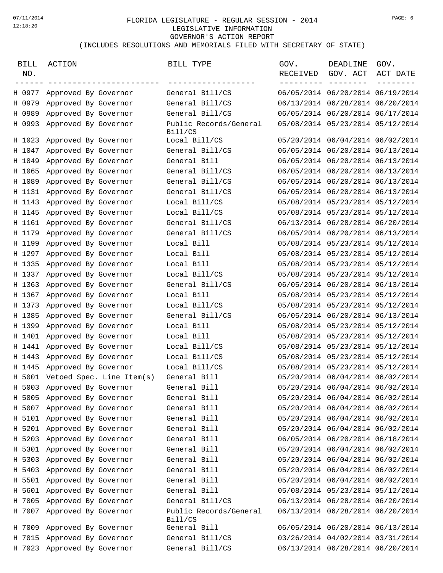## FLORIDA LEGISLATURE - REGULAR SESSION - 2014 07/11/2014 PAGE: 6LEGISLATIVE INFORMATION GOVERNOR'S ACTION REPORT (INCLUDES RESOLUTIONS AND MEMORIALS FILED WITH SECRETARY OF STATE)

| <b>BILL</b><br>NO. | ACTION                           | BILL TYPE<br>-----                | GOV.<br>RECEIVED<br>$---$ | DEADLINE<br>GOV. ACT             | GOV.<br>ACT DATE |
|--------------------|----------------------------------|-----------------------------------|---------------------------|----------------------------------|------------------|
|                    | H 0977 Approved By Governor      | General Bill/CS                   |                           | 06/05/2014 06/20/2014 06/19/2014 |                  |
| H 0979             | Approved By Governor             | General Bill/CS                   |                           | 06/13/2014 06/28/2014 06/20/2014 |                  |
| H 0989             | Approved By Governor             | General Bill/CS                   |                           | 06/05/2014 06/20/2014 06/17/2014 |                  |
|                    | H 0993 Approved By Governor      | Public Records/General<br>Bill/CS |                           | 05/08/2014 05/23/2014 05/12/2014 |                  |
|                    | H 1023 Approved By Governor      | Local Bill/CS                     |                           | 05/20/2014 06/04/2014 06/02/2014 |                  |
| H 1047             | Approved By Governor             | General Bill/CS                   |                           | 06/05/2014 06/20/2014 06/13/2014 |                  |
| H 1049             | Approved By Governor             | General Bill                      |                           | 06/05/2014 06/20/2014 06/13/2014 |                  |
| H 1065             | Approved By Governor             | General Bill/CS                   |                           | 06/05/2014 06/20/2014 06/13/2014 |                  |
| H 1089             | Approved By Governor             | General Bill/CS                   |                           | 06/05/2014 06/20/2014 06/13/2014 |                  |
| H 1131             | Approved By Governor             | General Bill/CS                   |                           | 06/05/2014 06/20/2014 06/13/2014 |                  |
| H 1143             | Approved By Governor             | Local Bill/CS                     |                           | 05/08/2014 05/23/2014 05/12/2014 |                  |
| H 1145             | Approved By Governor             | Local Bill/CS                     |                           | 05/08/2014 05/23/2014 05/12/2014 |                  |
| H 1161             | Approved By Governor             | General Bill/CS                   |                           | 06/13/2014 06/28/2014 06/20/2014 |                  |
| H 1179             | Approved By Governor             | General Bill/CS                   |                           | 06/05/2014 06/20/2014 06/13/2014 |                  |
| H 1199             | Approved By Governor             | Local Bill                        |                           | 05/08/2014 05/23/2014 05/12/2014 |                  |
| H 1297             | Approved By Governor             | Local Bill                        |                           | 05/08/2014 05/23/2014 05/12/2014 |                  |
| H 1335             | Approved By Governor             | Local Bill                        |                           | 05/08/2014 05/23/2014 05/12/2014 |                  |
| H 1337             | Approved By Governor             | Local Bill/CS                     |                           | 05/08/2014 05/23/2014 05/12/2014 |                  |
| H 1363             | Approved By Governor             | General Bill/CS                   |                           | 06/05/2014 06/20/2014 06/13/2014 |                  |
| H 1367             | Approved By Governor             | Local Bill                        |                           | 05/08/2014 05/23/2014 05/12/2014 |                  |
| H 1373             | Approved By Governor             | Local Bill/CS                     |                           | 05/08/2014 05/23/2014 05/12/2014 |                  |
| H 1385             | Approved By Governor             | General Bill/CS                   |                           | 06/05/2014 06/20/2014 06/13/2014 |                  |
| H 1399             | Approved By Governor             | Local Bill                        |                           | 05/08/2014 05/23/2014 05/12/2014 |                  |
| H 1401             | Approved By Governor             | Local Bill                        |                           | 05/08/2014 05/23/2014 05/12/2014 |                  |
| H 1441             | Approved By Governor             | Local Bill/CS                     |                           | 05/08/2014 05/23/2014 05/12/2014 |                  |
| H 1443             | Approved By Governor             | Local Bill/CS                     |                           | 05/08/2014 05/23/2014 05/12/2014 |                  |
| H 1445             | Approved By Governor             | Local Bill/CS                     |                           | 05/08/2014 05/23/2014 05/12/2014 |                  |
|                    | H 5001 Vetoed Spec. Line Item(s) | General Bill                      |                           | 05/20/2014 06/04/2014 06/02/2014 |                  |
|                    | H 5003 Approved By Governor      | General Bill                      |                           | 05/20/2014 06/04/2014 06/02/2014 |                  |
| H 5005             | Approved By Governor             | General Bill                      |                           | 05/20/2014 06/04/2014 06/02/2014 |                  |
| H 5007             | Approved By Governor             | General Bill                      |                           | 05/20/2014 06/04/2014 06/02/2014 |                  |
|                    | H 5101 Approved By Governor      | General Bill                      |                           | 05/20/2014 06/04/2014 06/02/2014 |                  |
|                    | H 5201 Approved By Governor      | General Bill                      |                           | 05/20/2014 06/04/2014 06/02/2014 |                  |
| H 5203             | Approved By Governor             | General Bill                      |                           | 06/05/2014 06/20/2014 06/18/2014 |                  |
| H 5301             | Approved By Governor             | General Bill                      |                           | 05/20/2014 06/04/2014 06/02/2014 |                  |
| H 5303             | Approved By Governor             | General Bill                      |                           | 05/20/2014 06/04/2014 06/02/2014 |                  |
| H 5403             | Approved By Governor             | General Bill                      |                           | 05/20/2014 06/04/2014 06/02/2014 |                  |
| H 5501             | Approved By Governor             | General Bill                      |                           | 05/20/2014 06/04/2014 06/02/2014 |                  |
| H 5601             | Approved By Governor             | General Bill                      |                           | 05/08/2014 05/23/2014 05/12/2014 |                  |
| H 7005             | Approved By Governor             | General Bill/CS                   |                           | 06/13/2014 06/28/2014 06/20/2014 |                  |
| H 7007             | Approved By Governor             | Public Records/General            |                           | 06/13/2014 06/28/2014 06/20/2014 |                  |
|                    |                                  | Bill/CS                           |                           |                                  |                  |
|                    | H 7009 Approved By Governor      | General Bill                      |                           | 06/05/2014 06/20/2014 06/13/2014 |                  |
| H 7015             | Approved By Governor             | General Bill/CS                   |                           | 03/26/2014 04/02/2014 03/31/2014 |                  |
| H 7023             | Approved By Governor             | General Bill/CS                   |                           | 06/13/2014 06/28/2014 06/20/2014 |                  |
|                    |                                  |                                   |                           |                                  |                  |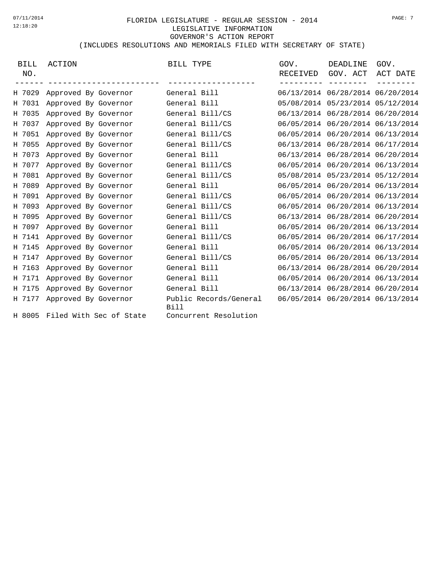## FLORIDA LEGISLATURE - REGULAR SESSION - 2014 07/11/2014 PAGE: 7LEGISLATIVE INFORMATION GOVERNOR'S ACTION REPORT (INCLUDES RESOLUTIONS AND MEMORIALS FILED WITH SECRETARY OF STATE)

| <b>BILL</b><br>NO. | ACTION                         | BILL TYPE                      | GOV.<br>RECEIVED | DEADLINE<br>GOV. ACT             | GOV.<br>ACT DATE |
|--------------------|--------------------------------|--------------------------------|------------------|----------------------------------|------------------|
| H 7029             | Approved By Governor           | General Bill                   |                  | 06/13/2014 06/28/2014 06/20/2014 |                  |
| H 7031             | Approved By Governor           | General Bill                   |                  | 05/08/2014 05/23/2014 05/12/2014 |                  |
| H 7035             | Approved By Governor           | General Bill/CS                |                  | 06/13/2014 06/28/2014 06/20/2014 |                  |
| H 7037             | Approved By Governor           | General Bill/CS                |                  | 06/05/2014 06/20/2014 06/13/2014 |                  |
| H 7051             | Approved By Governor           | General Bill/CS                |                  | 06/05/2014 06/20/2014 06/13/2014 |                  |
| H 7055             | Approved By Governor           | General Bill/CS                |                  | 06/13/2014 06/28/2014 06/17/2014 |                  |
| H 7073             | Approved By Governor           | General Bill                   |                  | 06/13/2014 06/28/2014 06/20/2014 |                  |
| H 7077             | Approved By Governor           | General Bill/CS                |                  | 06/05/2014 06/20/2014 06/13/2014 |                  |
| H 7081             | Approved By Governor           | General Bill/CS                |                  | 05/08/2014 05/23/2014 05/12/2014 |                  |
| H 7089             | Approved By Governor           | General Bill                   |                  | 06/05/2014 06/20/2014 06/13/2014 |                  |
| H 7091             | Approved By Governor           | General Bill/CS                |                  | 06/05/2014 06/20/2014 06/13/2014 |                  |
| H 7093             | Approved By Governor           | General Bill/CS                |                  | 06/05/2014 06/20/2014 06/13/2014 |                  |
| H 7095             | Approved By Governor           | General Bill/CS                |                  | 06/13/2014 06/28/2014 06/20/2014 |                  |
| H 7097             | Approved By Governor           | General Bill                   |                  | 06/05/2014 06/20/2014 06/13/2014 |                  |
| H 7141             | Approved By Governor           | General Bill/CS                |                  | 06/05/2014 06/20/2014 06/17/2014 |                  |
| H 7145             | Approved By Governor           | General Bill                   |                  | 06/05/2014 06/20/2014 06/13/2014 |                  |
| H 7147             | Approved By Governor           | General Bill/CS                |                  | 06/05/2014 06/20/2014 06/13/2014 |                  |
| H 7163             | Approved By Governor           | General Bill                   |                  | 06/13/2014 06/28/2014 06/20/2014 |                  |
| H 7171             | Approved By Governor           | General Bill                   |                  | 06/05/2014 06/20/2014 06/13/2014 |                  |
| H 7175             | Approved By Governor           | General Bill                   |                  | 06/13/2014 06/28/2014 06/20/2014 |                  |
| H 7177             | Approved By Governor           | Public Records/General<br>Bill |                  | 06/05/2014 06/20/2014 06/13/2014 |                  |
|                    | H 8005 Filed With Sec of State | Concurrent Resolution          |                  |                                  |                  |